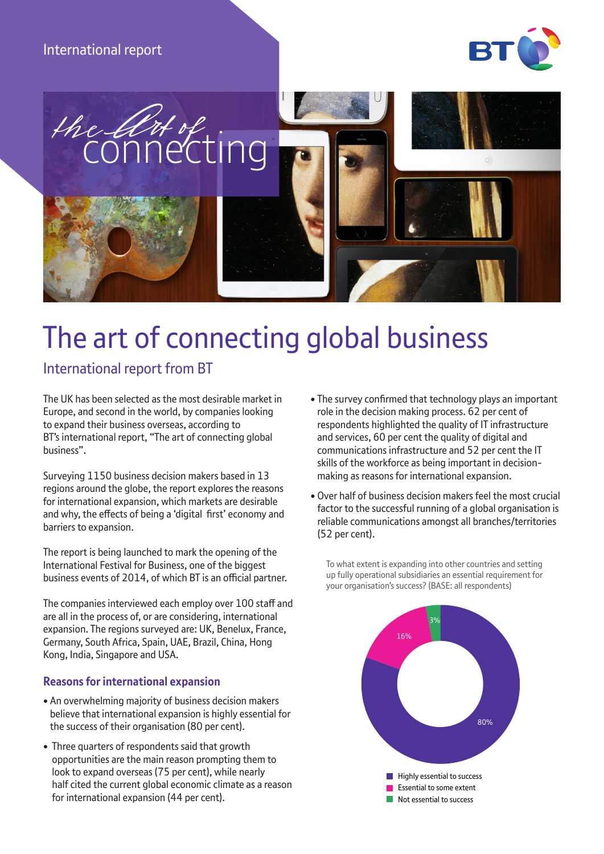# International report





# The art of connecting global business

# International report from BT

The UK has been selected as the most desirable market in Europe, and second in the world, by companies looking to expand their business overseas, according to BT's international report, "The art of connecting global business".

Surveying 1150 business decision makers based in 13 regions around the globe, the report explores the reasons for international expansion, which markets are desirable and why, the effects of being a 'digital first' economy and barriers to expansion.

The report is being launched to mark the opening of the International Festival for Business, one of the biggest business events of 2014, of which BT is an official partner.

The companies interviewed each employ over 100 staff and are all in the process of, or are considering, international expansion. The regions surveyed are: UK, Benelux, France, Germany, South Africa, Spain, UAE, Brazil, China, Hong Kong, India, Singapore and USA.

## **Reasons for international expansion**

- An overwhelming majority of business decision makers believe that international expansion is highly essential for the success of their organisation (80 per cent).
- Three quarters of respondents said that growth opportunities are the main reason prompting them to look to expand overseas (75 per cent), while nearly half cited the current global economic climate as a reason for international expansion (44 per cent).
- The survey confirmed that technology plays an important role in the decision making process. 62 per cent of respondents highlighted the quality of IT infrastructure and services, 60 per cent the quality of digital and communications infrastructure and 52 per cent the IT skills of the workforce as being important in decisionmaking as reasons for international expansion.
- Over half of business decision makers feel the most crucial factor to the successful running of a global organisation is reliable communications amongst all branches/territories (52 per cent).

To what extent is expanding into other countries and setting up fully operational subsidiaries an essential requirement for your organisation's success? (BASE: all respondents)

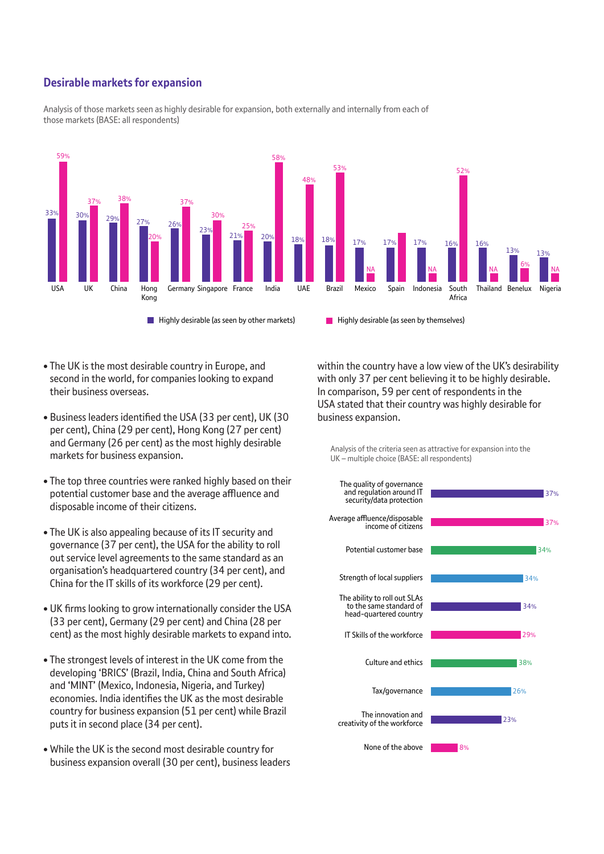## **Desirable markets for expansion**



Analysis of those markets seen as highly desirable for expansion, both externally and internally from each of those markets (BASE: all respondents)

- The UK is the most desirable country in Europe, and second in the world, for companies looking to expand their business overseas.
- Business leaders identified the USA (33 per cent), UK (30 per cent), China (29 per cent), Hong Kong (27 per cent) and Germany (26 per cent) as the most highly desirable markets for business expansion.
- The top three countries were ranked highly based on their potential customer base and the average affluence and disposable income of their citizens.
- The UK is also appealing because of its IT security and governance (37 per cent), the USA for the ability to roll out service level agreements to the same standard as an organisation's headquartered country (34 per cent), and China for the IT skills of its workforce (29 per cent).
- UK firms looking to grow internationally consider the USA (33 per cent), Germany (29 per cent) and China (28 per cent) as the most highly desirable markets to expand into.
- The strongest levels of interest in the UK come from the developing 'BRICS' (Brazil, India, China and South Africa) and 'MINT' (Mexico, Indonesia, Nigeria, and Turkey) economies. India identifies the UK as the most desirable country for business expansion (51 per cent) while Brazil puts it in second place (34 per cent).
- While the UK is the second most desirable country for business expansion overall (30 per cent), business leaders

within the country have a low view of the UK's desirability with only 37 per cent believing it to be highly desirable. In comparison, 59 per cent of respondents in the USA stated that their country was highly desirable for business expansion.

Analysis of the criteria seen as attractive for expansion into the UK – multiple choice (BASE: all respondents)

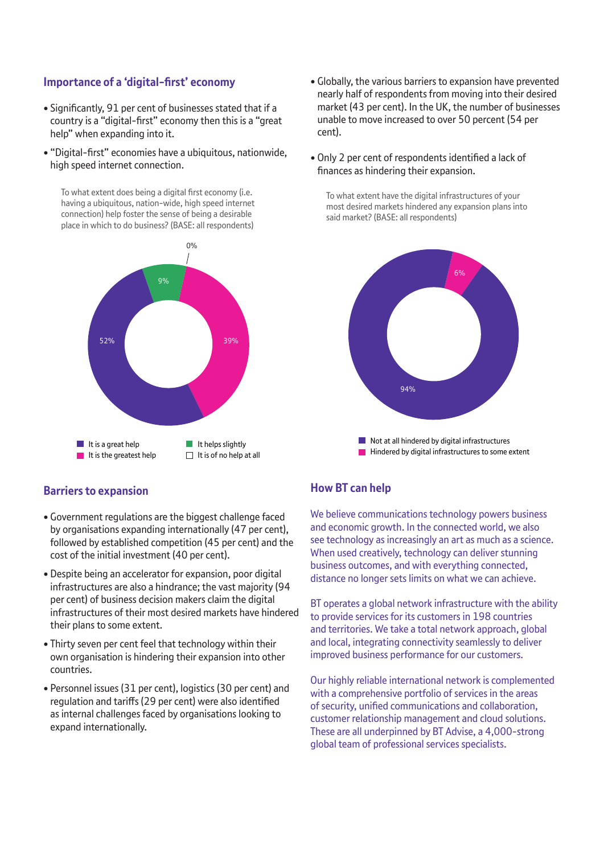#### **Importance of a 'digital-first' economy**

- Significantly, 91 per cent of businesses stated that if a country is a "digital-first" economy then this is a "great help" when expanding into it.
- "Digital-first" economies have a ubiquitous, nationwide, high speed internet connection.

To what extent does being a digital first economy (i.e. having a ubiquitous, nation-wide, high speed internet connection) help foster the sense of being a desirable place in which to do business? (BASE: all respondents)



- Globally, the various barriers to expansion have prevented nearly half of respondents from moving into their desired market (43 per cent). In the UK, the number of businesses unable to move increased to over 50 percent (54 per cent).
- Only 2 per cent of respondents identified a lack of finances as hindering their expansion.

To what extent have the digital infrastructures of your most desired markets hindered any expansion plans into said market? (BASE: all respondents)



#### **Barriers to expansion**

- Government regulations are the biggest challenge faced by organisations expanding internationally (47 per cent), followed by established competition (45 per cent) and the cost of the initial investment (40 per cent).
- Despite being an accelerator for expansion, poor digital infrastructures are also a hindrance; the vast majority (94 per cent) of business decision makers claim the digital infrastructures of their most desired markets have hindered their plans to some extent.
- Thirty seven per cent feel that technology within their own organisation is hindering their expansion into other countries.
- Personnel issues (31 per cent), logistics (30 per cent) and regulation and tariffs (29 per cent) were also identified as internal challenges faced by organisations looking to expand internationally.

## **How BT can help**

We believe communications technology powers business and economic growth. In the connected world, we also see technology as increasingly an art as much as a science. When used creatively, technology can deliver stunning business outcomes, and with everything connected, distance no longer sets limits on what we can achieve.

BT operates a global network infrastructure with the ability to provide services for its customers in 198 countries and territories. We take a total network approach, global and local, integrating connectivity seamlessly to deliver improved business performance for our customers.

Our highly reliable international network is complemented with a comprehensive portfolio of services in the areas of security, unified communications and collaboration, customer relationship management and cloud solutions. These are all underpinned by BT Advise, a 4,000-strong global team of professional services specialists.